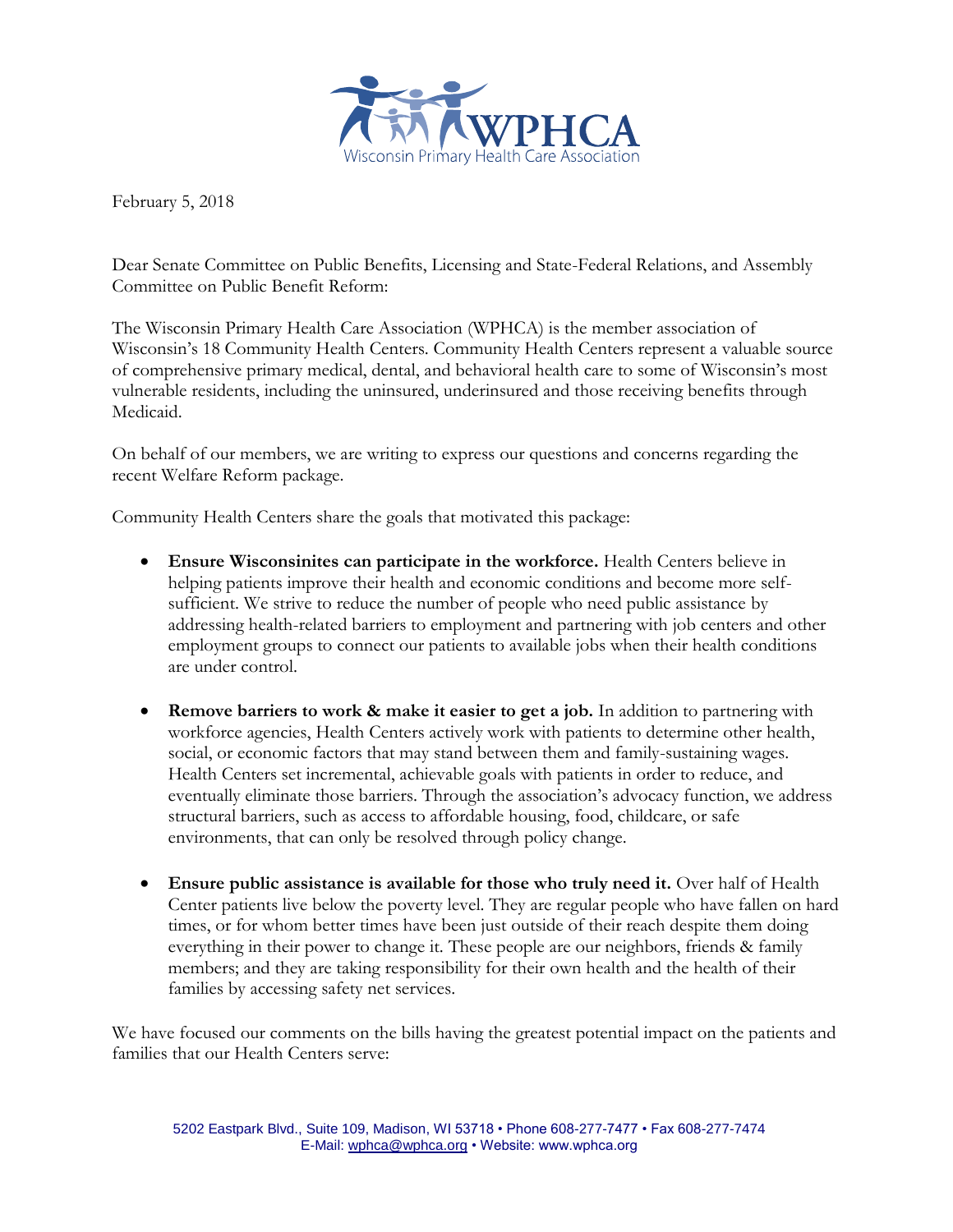

February 5, 2018

Dear Senate Committee on Public Benefits, Licensing and State-Federal Relations, and Assembly Committee on Public Benefit Reform:

The Wisconsin Primary Health Care Association (WPHCA) is the member association of Wisconsin's 18 Community Health Centers. Community Health Centers represent a valuable source of comprehensive primary medical, dental, and behavioral health care to some of Wisconsin's most vulnerable residents, including the uninsured, underinsured and those receiving benefits through Medicaid.

On behalf of our members, we are writing to express our questions and concerns regarding the recent Welfare Reform package.

Community Health Centers share the goals that motivated this package:

- **Ensure Wisconsinites can participate in the workforce.** Health Centers believe in helping patients improve their health and economic conditions and become more selfsufficient. We strive to reduce the number of people who need public assistance by addressing health-related barriers to employment and partnering with job centers and other employment groups to connect our patients to available jobs when their health conditions are under control.
- **Remove barriers to work & make it easier to get a job.** In addition to partnering with workforce agencies, Health Centers actively work with patients to determine other health, social, or economic factors that may stand between them and family-sustaining wages. Health Centers set incremental, achievable goals with patients in order to reduce, and eventually eliminate those barriers. Through the association's advocacy function, we address structural barriers, such as access to affordable housing, food, childcare, or safe environments, that can only be resolved through policy change.
- Ensure public assistance is available for those who truly need it. Over half of Health Center patients live below the poverty level. They are regular people who have fallen on hard times, or for whom better times have been just outside of their reach despite them doing everything in their power to change it. These people are our neighbors, friends & family members; and they are taking responsibility for their own health and the health of their families by accessing safety net services.

We have focused our comments on the bills having the greatest potential impact on the patients and families that our Health Centers serve: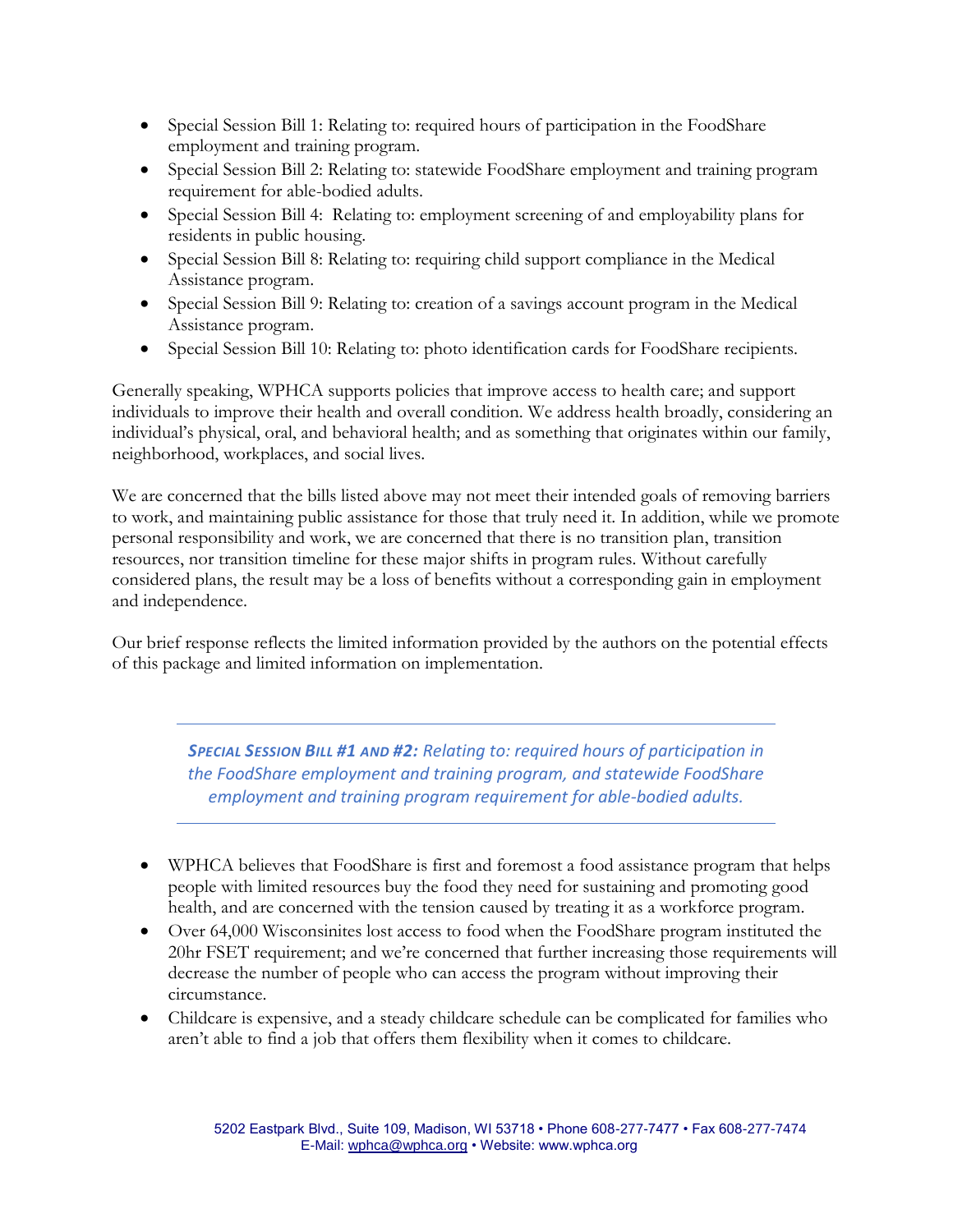- Special Session Bill 1: Relating to: required hours of participation in the FoodShare employment and training program.
- Special Session Bill 2: Relating to: statewide FoodShare employment and training program requirement for able-bodied adults.
- Special Session Bill 4: Relating to: employment screening of and employability plans for residents in public housing.
- Special Session Bill 8: Relating to: requiring child support compliance in the Medical Assistance program.
- Special Session Bill 9: Relating to: creation of a savings account program in the Medical Assistance program.
- Special Session Bill 10: Relating to: photo identification cards for FoodShare recipients.

Generally speaking, WPHCA supports policies that improve access to health care; and support individuals to improve their health and overall condition. We address health broadly, considering an individual's physical, oral, and behavioral health; and as something that originates within our family, neighborhood, workplaces, and social lives.

We are concerned that the bills listed above may not meet their intended goals of removing barriers to work, and maintaining public assistance for those that truly need it. In addition, while we promote personal responsibility and work, we are concerned that there is no transition plan, transition resources, nor transition timeline for these major shifts in program rules. Without carefully considered plans, the result may be a loss of benefits without a corresponding gain in employment and independence.

Our brief response reflects the limited information provided by the authors on the potential effects of this package and limited information on implementation.

> *SPECIAL SESSION BILL #1 AND #2: Relating to: required hours of participation in the FoodShare employment and training program, and statewide FoodShare employment and training program requirement for able-bodied adults.*

- WPHCA believes that FoodShare is first and foremost a food assistance program that helps people with limited resources buy the food they need for sustaining and promoting good health, and are concerned with the tension caused by treating it as a workforce program.
- Over 64,000 Wisconsinites lost access to food when the FoodShare program instituted the 20hr FSET requirement; and we're concerned that further increasing those requirements will decrease the number of people who can access the program without improving their circumstance.
- Childcare is expensive, and a steady childcare schedule can be complicated for families who aren't able to find a job that offers them flexibility when it comes to childcare.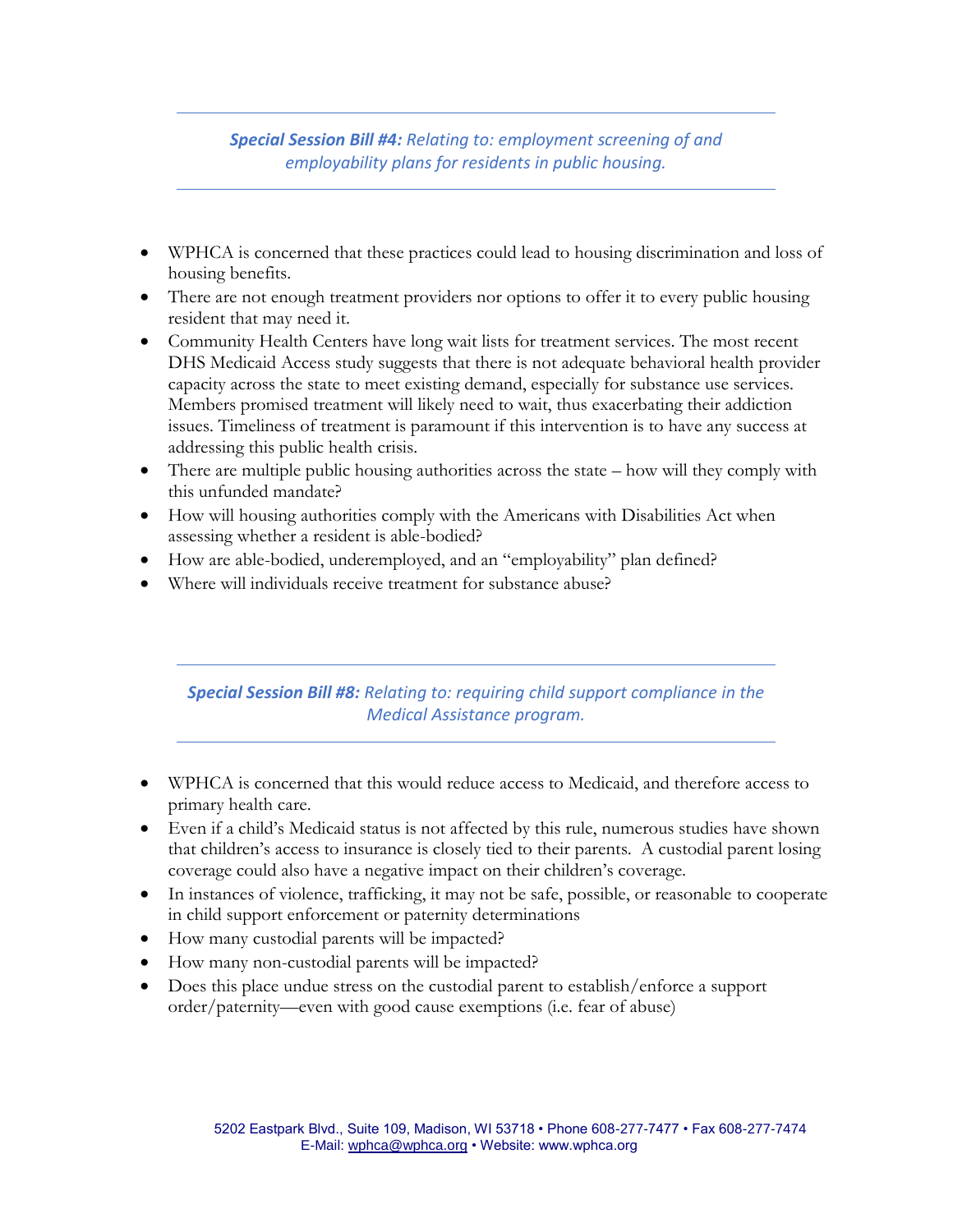#### *Special Session Bill #4: Relating to: employment screening of and employability plans for residents in public housing.*

- WPHCA is concerned that these practices could lead to housing discrimination and loss of housing benefits.
- There are not enough treatment providers nor options to offer it to every public housing resident that may need it.
- Community Health Centers have long wait lists for treatment services. The most recent DHS Medicaid Access study suggests that there is not adequate behavioral health provider capacity across the state to meet existing demand, especially for substance use services. Members promised treatment will likely need to wait, thus exacerbating their addiction issues. Timeliness of treatment is paramount if this intervention is to have any success at addressing this public health crisis.
- There are multiple public housing authorities across the state how will they comply with this unfunded mandate?
- How will housing authorities comply with the Americans with Disabilities Act when assessing whether a resident is able-bodied?
- How are able-bodied, underemployed, and an "employability" plan defined?
- Where will individuals receive treatment for substance abuse?

## *Special Session Bill #8: Relating to: requiring child support compliance in the Medical Assistance program.*

- WPHCA is concerned that this would reduce access to Medicaid, and therefore access to primary health care.
- Even if a child's Medicaid status is not affected by this rule, numerous studies have shown that children's access to insurance is closely tied to their parents. A custodial parent losing coverage could also have a negative impact on their children's coverage.
- In instances of violence, trafficking, it may not be safe, possible, or reasonable to cooperate in child support enforcement or paternity determinations
- How many custodial parents will be impacted?
- How many non-custodial parents will be impacted?
- Does this place undue stress on the custodial parent to establish/enforce a support order/paternity—even with good cause exemptions (i.e. fear of abuse)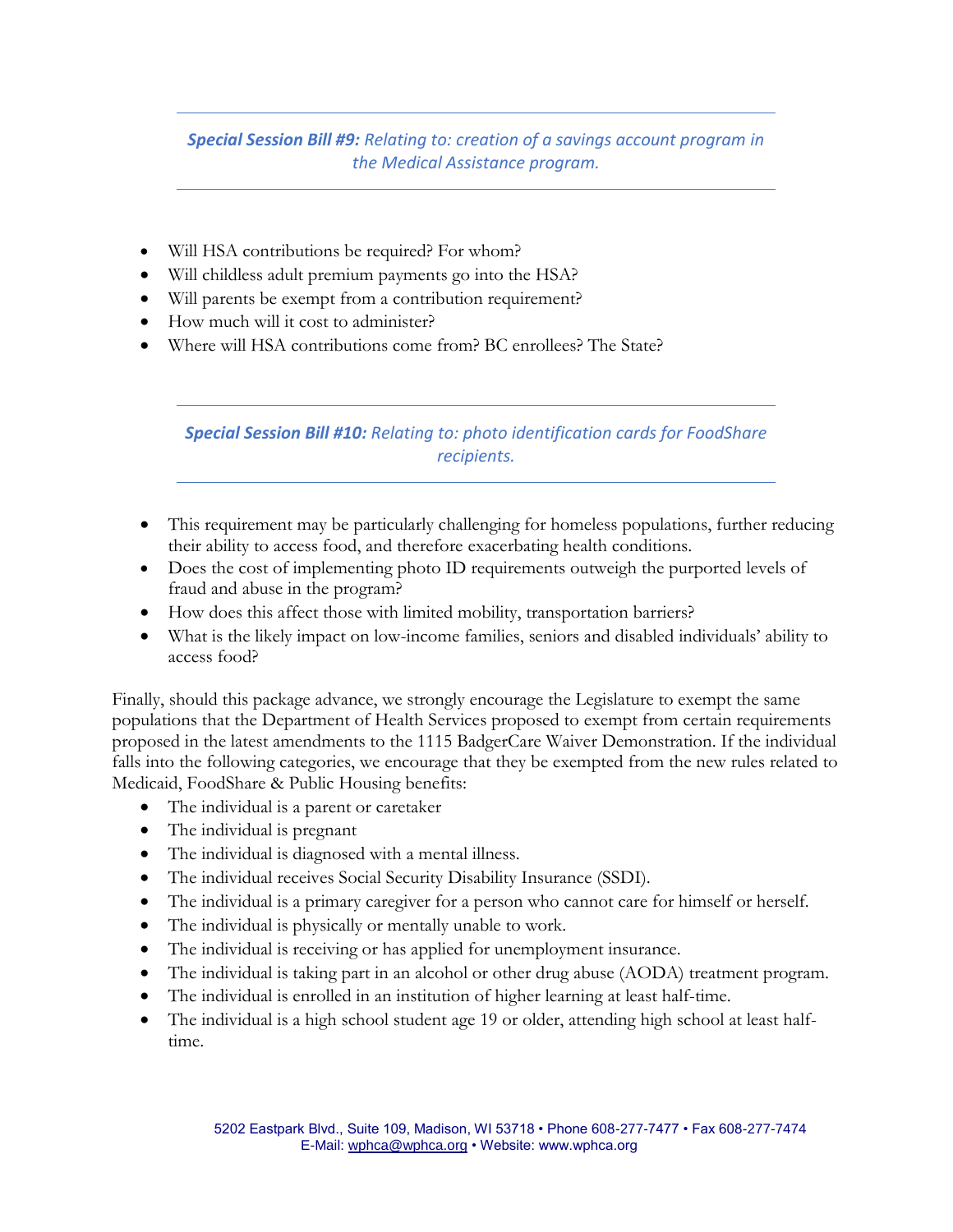## *Special Session Bill #9: Relating to: creation of a savings account program in the Medical Assistance program.*

- Will HSA contributions be required? For whom?
- Will childless adult premium payments go into the HSA?
- Will parents be exempt from a contribution requirement?
- How much will it cost to administer?
- Where will HSA contributions come from? BC enrollees? The State?

## *Special Session Bill #10: Relating to: photo identification cards for FoodShare recipients.*

- This requirement may be particularly challenging for homeless populations, further reducing their ability to access food, and therefore exacerbating health conditions.
- Does the cost of implementing photo ID requirements outweigh the purported levels of fraud and abuse in the program?
- How does this affect those with limited mobility, transportation barriers?
- What is the likely impact on low-income families, seniors and disabled individuals' ability to access food?

Finally, should this package advance, we strongly encourage the Legislature to exempt the same populations that the Department of Health Services proposed to exempt from certain requirements proposed in the latest amendments to the 1115 BadgerCare Waiver Demonstration. If the individual falls into the following categories, we encourage that they be exempted from the new rules related to Medicaid, FoodShare & Public Housing benefits:

- The individual is a parent or caretaker
- The individual is pregnant
- The individual is diagnosed with a mental illness.
- The individual receives Social Security Disability Insurance (SSDI).
- The individual is a primary caregiver for a person who cannot care for himself or herself.
- The individual is physically or mentally unable to work.
- The individual is receiving or has applied for unemployment insurance.
- The individual is taking part in an alcohol or other drug abuse (AODA) treatment program.
- The individual is enrolled in an institution of higher learning at least half-time.
- The individual is a high school student age 19 or older, attending high school at least halftime.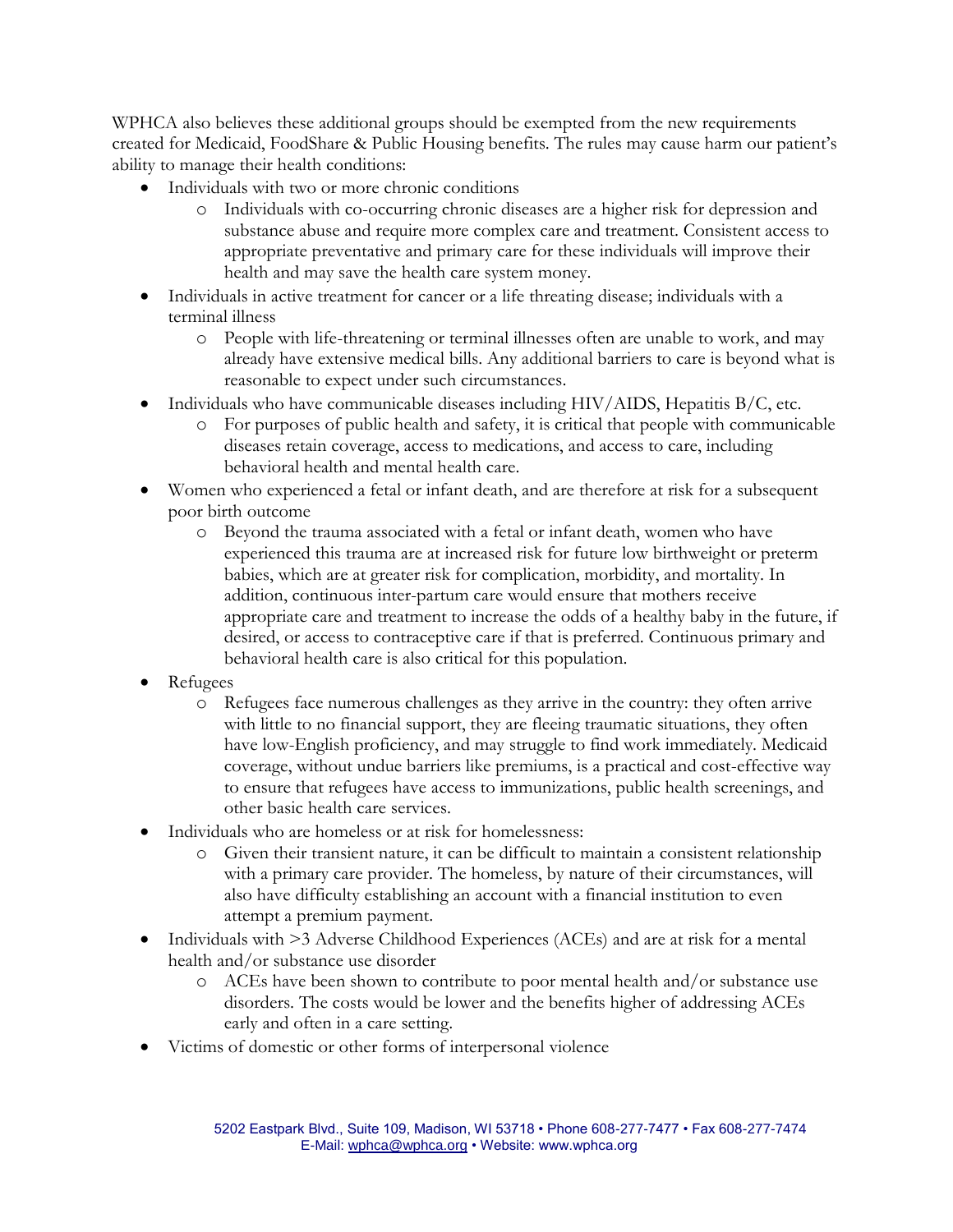WPHCA also believes these additional groups should be exempted from the new requirements created for Medicaid, FoodShare & Public Housing benefits. The rules may cause harm our patient's ability to manage their health conditions:

- Individuals with two or more chronic conditions
	- o Individuals with co-occurring chronic diseases are a higher risk for depression and substance abuse and require more complex care and treatment. Consistent access to appropriate preventative and primary care for these individuals will improve their health and may save the health care system money.
- Individuals in active treatment for cancer or a life threating disease; individuals with a terminal illness
	- o People with life-threatening or terminal illnesses often are unable to work, and may already have extensive medical bills. Any additional barriers to care is beyond what is reasonable to expect under such circumstances.
- Individuals who have communicable diseases including HIV/AIDS, Hepatitis B/C, etc.
	- o For purposes of public health and safety, it is critical that people with communicable diseases retain coverage, access to medications, and access to care, including behavioral health and mental health care.
- Women who experienced a fetal or infant death, and are therefore at risk for a subsequent poor birth outcome
	- o Beyond the trauma associated with a fetal or infant death, women who have experienced this trauma are at increased risk for future low birthweight or preterm babies, which are at greater risk for complication, morbidity, and mortality. In addition, continuous inter-partum care would ensure that mothers receive appropriate care and treatment to increase the odds of a healthy baby in the future, if desired, or access to contraceptive care if that is preferred. Continuous primary and behavioral health care is also critical for this population.
- Refugees
	- o Refugees face numerous challenges as they arrive in the country: they often arrive with little to no financial support, they are fleeing traumatic situations, they often have low-English proficiency, and may struggle to find work immediately. Medicaid coverage, without undue barriers like premiums, is a practical and cost-effective way to ensure that refugees have access to immunizations, public health screenings, and other basic health care services.
- Individuals who are homeless or at risk for homelessness:
	- o Given their transient nature, it can be difficult to maintain a consistent relationship with a primary care provider. The homeless, by nature of their circumstances, will also have difficulty establishing an account with a financial institution to even attempt a premium payment.
- Individuals with >3 Adverse Childhood Experiences (ACEs) and are at risk for a mental health and/or substance use disorder
	- o ACEs have been shown to contribute to poor mental health and/or substance use disorders. The costs would be lower and the benefits higher of addressing ACEs early and often in a care setting.
- Victims of domestic or other forms of interpersonal violence